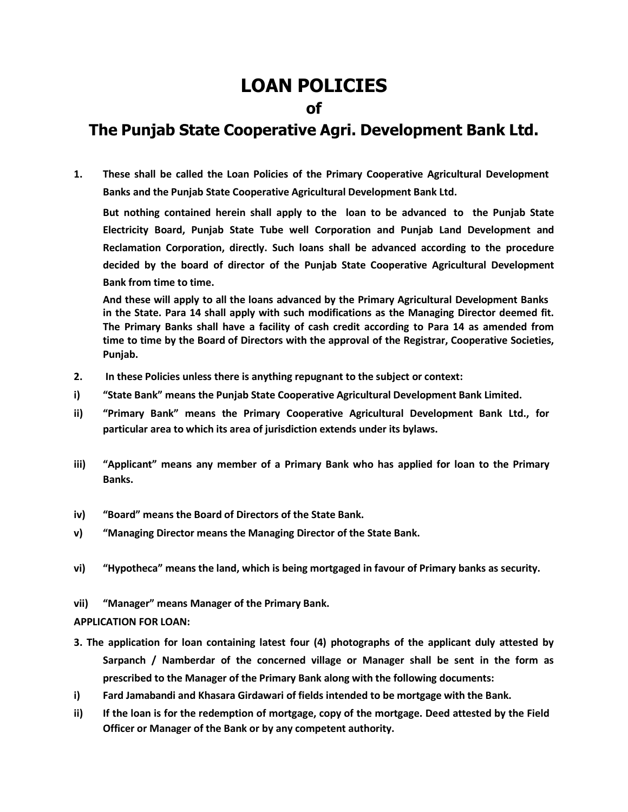# **LOAN POLICIES**

# **of**

# **The Punjab State Cooperative Agri. Development Bank Ltd.**

**1. These shall be called the Loan Policies of the Primary Cooperative Agricultural Development Banks and the Punjab State Cooperative Agricultural Development Bank Ltd.**

**But nothing contained herein shall apply to the loan to be advanced to the Punjab State Electricity Board, Punjab State Tube well Corporation and Punjab Land Development and Reclamation Corporation, directly. Such loans shall be advanced according to the procedure decided by the board of director of the Punjab State Cooperative Agricultural Development Bank from time to time.**

**And these will apply to all the loans advanced by the Primary Agricultural Development Banks in the State. Para 14 shall apply with such modifications as the Managing Director deemed fit. The Primary Banks shall have a facility of cash credit according to Para 14 as amended from time to time by the Board of Directors with the approval of the Registrar, Cooperative Societies, Punjab.**

- **2. In these Policies unless there is anything repugnant to the subject or context:**
- **i) "State Bank" means the Punjab State Cooperative Agricultural Development Bank Limited.**
- **ii) "Primary Bank" means the Primary Cooperative Agricultural Development Bank Ltd., for particular area to which its area of jurisdiction extends under its bylaws.**
- **iii) "Applicant" means any member of a Primary Bank who has applied for loan to the Primary Banks.**
- **iv) "Board" means the Board of Directors of the State Bank.**
- **v) "Managing Director means the Managing Director of the State Bank.**
- **vi) "Hypotheca" means the land, which is being mortgaged in favour of Primary banks as security.**
- **vii) "Manager" means Manager of the Primary Bank.**

#### **APPLICATION FOR LOAN:**

- **3. The application for loan containing latest four (4) photographs of the applicant duly attested by Sarpanch / Namberdar of the concerned village or Manager shall be sent in the form as prescribed to the Manager of the Primary Bank along with the following documents:**
- **i) Fard Jamabandi and Khasara Girdawari of fields intended to be mortgage with the Bank.**
- ii) If the loan is for the redemption of mortgage, copy of the mortgage. Deed attested by the Field **Officer or Manager of the Bank or by any competent authority.**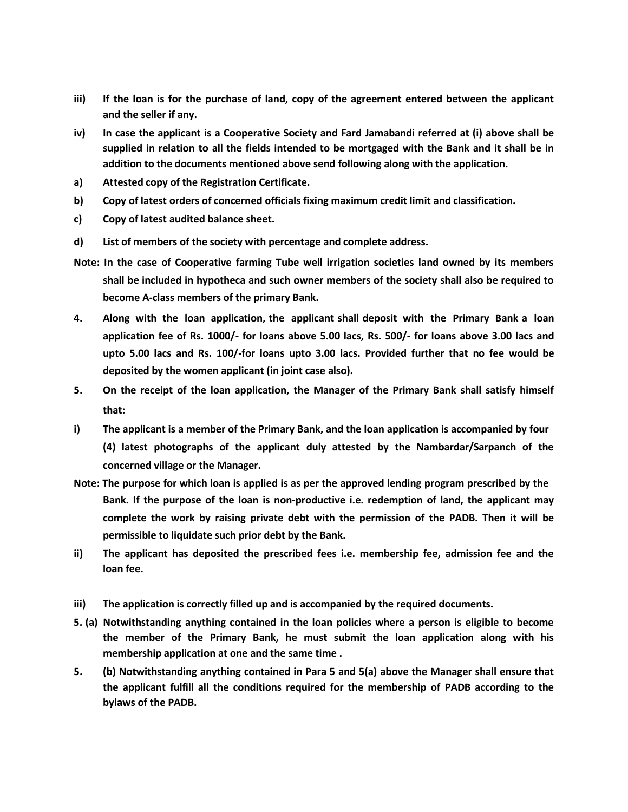- **iii) If the loan is for the purchase of land, copy of the agreement entered between the applicant and the seller if any.**
- iv) In case the applicant is a Cooperative Society and Fard Jamabandi referred at (i) above shall be supplied in relation to all the fields intended to be mortgaged with the Bank and it shall be in **addition to the documents mentioned above send following along with the application.**
- **a) Attested copy of the Registration Certificate.**
- **b) Copy of latest orders of concerned officials fixing maximum credit limit and classification.**
- **c) Copy of latest audited balance sheet.**
- **d) List of members of the society with percentage and complete address.**
- **Note: In the case of Cooperative farming Tube well irrigation societies land owned by its members shall be included in hypotheca and such owner members of the society shall also be required to become A-class members of the primary Bank.**
- **4. Along with the loan application, the applicant shall deposit with the Primary Bank a loan application fee of Rs. 1000/- for loans above 5.00 lacs, Rs. 500/- for loans above 3.00 lacs and upto 5.00 lacs and Rs. 100/-for loans upto 3.00 lacs. Provided further that no fee would be deposited by the women applicant (in joint case also).**
- **5. On the receipt of the loan application, the Manager of the Primary Bank shall satisfy himself that:**
- **i) The applicant is a member of the Primary Bank, and the loan application is accompanied by four (4) latest photographs of the applicant duly attested by the Nambardar/Sarpanch of the concerned village or the Manager.**
- Note: The purpose for which loan is applied is as per the approved lending program prescribed by the **Bank. If the purpose of the loan is non-productive i.e. redemption of land, the applicant may complete the work by raising private debt with the permission of the PADB. Then it will be permissible to liquidate such prior debt by the Bank.**
- **ii) The applicant has deposited the prescribed fees i.e. membership fee, admission fee and the loan fee.**
- **iii) The application is correctly filled up and is accompanied by the required documents.**
- **5. (a) Notwithstanding anything contained in the loan policies where a person is eligible to become the member of the Primary Bank, he must submit the loan application along with his membership application at one and the same time .**
- **5. (b) Notwithstanding anything contained in Para 5 and 5(a) above the Manager shall ensure that the applicant fulfill all the conditions required for the membership of PADB according to the bylaws of the PADB.**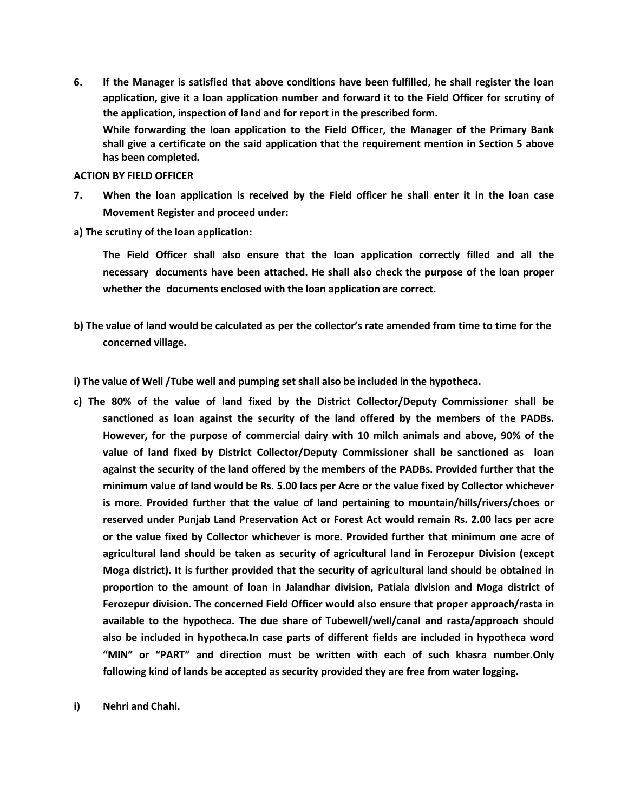**6. If the Manager is satisfied that above conditions have been fulfilled, he shall register the loan application, give it a loan application number and forward it to the Field Officer for scrutiny of the application, inspection of land and for report in the prescribed form.**

**While forwarding the loan application to the Field Officer, the Manager of the Primary Bank shall give a certificate on the said application that the requirement mention in Section 5 above has been completed.**

#### **ACTION BY FIELD OFFICER**

- 7. When the loan application is received by the Field officer he shall enter it in the loan case **Movement Register and proceed under:**
- **a) The scrutiny of the loan application:**

**The Field Officer shall also ensure that the loan application correctly filled and all the necessary documents have been attached. He shall also check the purpose of the loan proper whether the documents enclosed with the loan application are correct.**

b) The value of land would be calculated as per the collector's rate amended from time to time for the **concerned village.**

**i) The value of Well /Tube well and pumping set shall also be included in the hypotheca.**

- **c) The 80% of the value of land fixed by the District Collector/Deputy Commissioner shall be sanctioned as loan against the security of the land offered by the members of the PADBs. However, for the purpose of commercial dairy with 10 milch animals and above, 90% of the value of land fixed by District Collector/Deputy Commissioner shall be sanctioned as loan against the security of the land offered by the members of the PADBs. Provided further that the minimum value of land would be Rs. 5.00 lacs per Acre or the value fixed by Collector whichever is more. Provided further that the value of land pertaining to mountain/hills/rivers/choes or reserved under Punjab Land Preservation Act or Forest Act would remain Rs. 2.00 lacs per acre or the value fixed by Collector whichever is more. Provided further that minimum one acre of agricultural land should be taken as security of agricultural land in Ferozepur Division (except Moga district). It is further provided that the security of agricultural land should be obtained in proportion to the amount of loan in Jalandhar division, Patiala division and Moga district of Ferozepur division. The concerned Field Officer would also ensure that proper approach/rasta in available to the hypotheca. The due share of Tubewell/well/canal and rasta/approach should also be included in hypotheca.In case parts of different fields are included in hypotheca word "MIN" or "PART" and direction must be written with each of such khasra number.Only following kind of lands be accepted as security provided they are free from water logging.**
- **i) Nehri and Chahi.**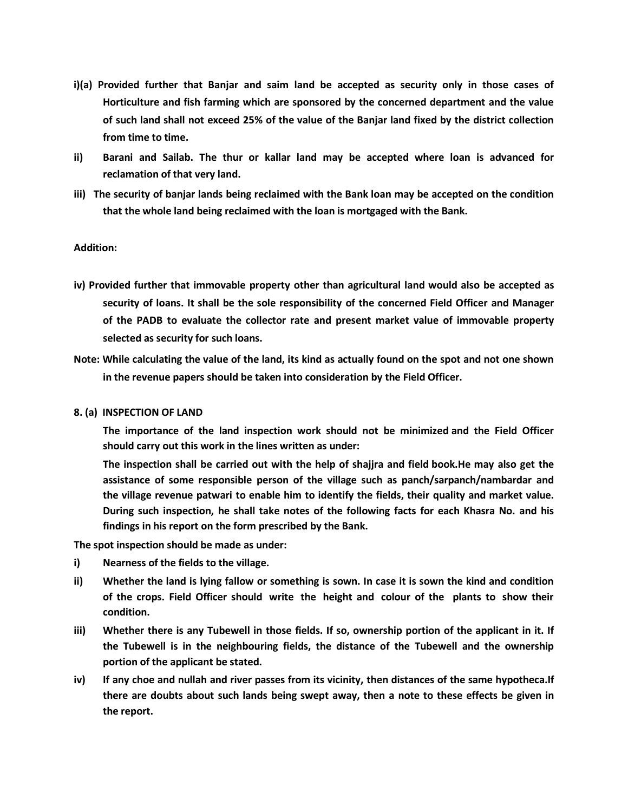- **i)(a) Provided further that Banjar and saim land be accepted as security only in those cases of Horticulture and fish farming which are sponsored by the concerned department and the value** of such land shall not exceed 25% of the value of the Banjar land fixed by the district collection **from time to time.**
- **ii) Barani and Sailab. The thur or kallar land may be accepted where loan is advanced for reclamation of that very land.**
- **iii) The security of banjar lands being reclaimed with the Bank loan may be accepted on the condition that the whole land being reclaimed with the loan is mortgaged with the Bank.**

### **Addition:**

- **iv) Provided further that immovable property other than agricultural land would also be accepted as security of loans. It shall be the sole responsibility of the concerned Field Officer and Manager of the PADB to evaluate the collector rate and present market value of immovable property selected as security for such loans.**
- **Note: While calculating the value of the land, its kind as actually found on the spot and not one shown in the revenue papers should be taken into consideration by the Field Officer.**

### **8. (a) INSPECTION OF LAND**

**The importance of the land inspection work should not be minimized and the Field Officer should carry out this work in the lines written as under:**

**The inspection shall be carried out with the help of shajjra and field book.He may also get the assistance of some responsible person of the village such as panch/sarpanch/nambardar and the village revenue patwari to enable him to identify the fields, their quality and market value. During such inspection, he shall take notes of the following facts for each Khasra No. and his findings in his report on the form prescribed by the Bank.**

**The spot inspection should be made as under:**

- **i) Nearness of the fields to the village.**
- ii) Whether the land is lying fallow or something is sown. In case it is sown the kind and condition **of the crops. Field Officer should write the height and colour of the plants to show their condition.**
- iii) Whether there is any Tubewell in those fields. If so, ownership portion of the applicant in it. If **the Tubewell is in the neighbouring fields, the distance of the Tubewell and the ownership portion of the applicant be stated.**
- iv) If any choe and nullah and river passes from its vicinity, then distances of the same hypotheca. If **there are doubts about such lands being swept away, then a note to these effects be given in the report.**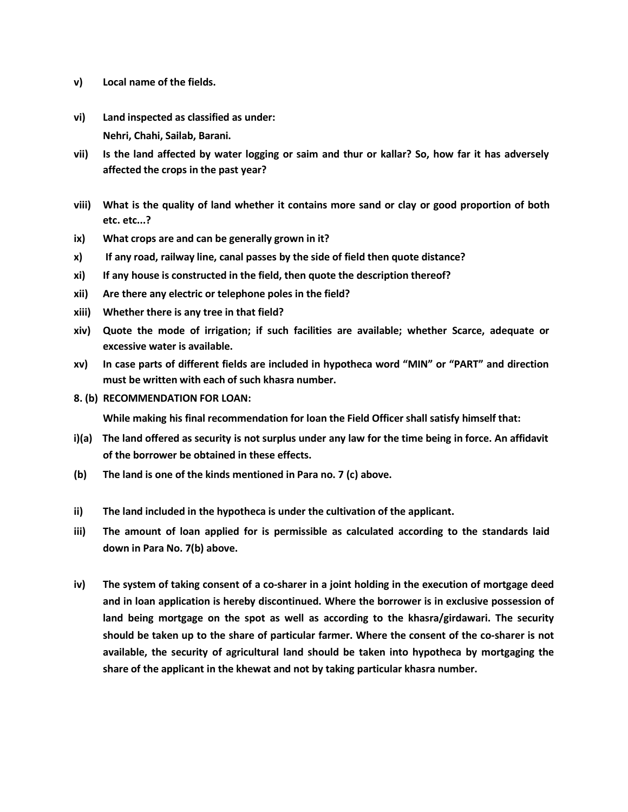- **v) Local name of the fields.**
- **vi) Land inspected as classified as under: Nehri, Chahi, Sailab, Barani.**
- vii) Is the land affected by water logging or saim and thur or kallar? So, how far it has adversely **affected the crops in the past year?**
- viii) What is the quality of land whether it contains more sand or clay or good proportion of both **etc. etc...?**
- **ix) What crops are and can be generally grown in it?**
- **x) If any road, railway line, canal passes by the side of field then quote distance?**
- **xi) If any house is constructed in the field, then quote the description thereof?**
- **xii) Are there any electric or telephone poles in the field?**
- **xiii) Whether there is any tree in that field?**
- **xiv) Quote the mode of irrigation; if such facilities are available; whether Scarce, adequate or excessive water is available.**
- **xv) In case parts of different fields are included in hypotheca word "MIN" or "PART" and direction must be written with each of such khasra number.**
- **8. (b) RECOMMENDATION FOR LOAN:**

**While making his final recommendation for loan the Field Officer shall satisfy himself that:**

- i)(a) The land offered as security is not surplus under any law for the time being in force. An affidavit **of the borrower be obtained in these effects.**
- **(b) The land is one of the kinds mentioned in Para no. 7 (c) above.**
- **ii) The land included in the hypotheca is under the cultivation of the applicant.**
- **iii) The amount of loan applied for is permissible as calculated according to the standards laid down in Para No. 7(b) above.**
- iv) The system of taking consent of a co-sharer in a joint holding in the execution of mortgage deed **and in loan application is hereby discontinued. Where the borrower is in exclusive possession of land being mortgage on the spot as well as according to the khasra/girdawari. The security should be taken up to the share of particular farmer. Where the consent of the co-sharer is not available, the security of agricultural land should be taken into hypotheca by mortgaging the share of the applicant in the khewat and not by taking particular khasra number.**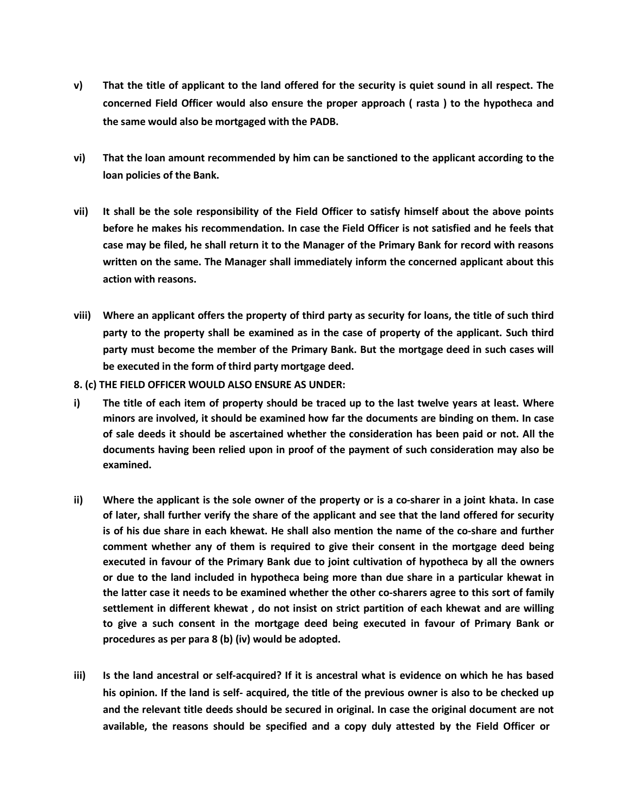- v) That the title of applicant to the land offered for the security is quiet sound in all respect. The **concerned Field Officer would also ensure the proper approach ( rasta ) to the hypotheca and the same would also be mortgaged with the PADB.**
- **vi) That the loan amount recommended by him can be sanctioned to the applicant according to the loan policies of the Bank.**
- vii) It shall be the sole responsibility of the Field Officer to satisfy himself about the above points **before he makes his recommendation. In case the Field Officer is not satisfied and he feels that** case may be filed, he shall return it to the Manager of the Primary Bank for record with reasons **written on the same. The Manager shall immediately inform the concerned applicant about this action with reasons.**
- viii) Where an applicant offers the property of third party as security for loans, the title of such third **party to the property shall be examined as in the case of property of the applicant. Such third party must become the member of the Primary Bank. But the mortgage deed in such cases will be executed in the form of third party mortgage deed.**
- **8. (c) THE FIELD OFFICER WOULD ALSO ENSURE AS UNDER:**
- i) The title of each item of property should be traced up to the last twelve years at least. Where **minors are involved, it should be examined how far the documents are binding on them. In case of sale deeds it should be ascertained whether the consideration has been paid or not. All the documents having been relied upon in proof of the payment of such consideration may also be examined.**
- ii) Where the applicant is the sole owner of the property or is a co-sharer in a joint khata. In case of later, shall further verify the share of the applicant and see that the land offered for security is of his due share in each khewat. He shall also mention the name of the co-share and further **comment whether any of them is required to give their consent in the mortgage deed being executed in favour of the Primary Bank due to joint cultivation of hypotheca by all the owners or due to the land included in hypotheca being more than due share in a particular khewat in the latter case it needs to be examined whether the other co-sharers agree to this sort of family settlement in different khewat , do not insist on strict partition of each khewat and are willing to give a such consent in the mortgage deed being executed in favour of Primary Bank or procedures as per para 8 (b) (iv) would be adopted.**
- iii) Is the land ancestral or self-acquired? If it is ancestral what is evidence on which he has based his opinion. If the land is self- acquired, the title of the previous owner is also to be checked up **and the relevant title deeds should be secured in original. In case the original document are not available, the reasons should be specified and a copy duly attested by the Field Officer or**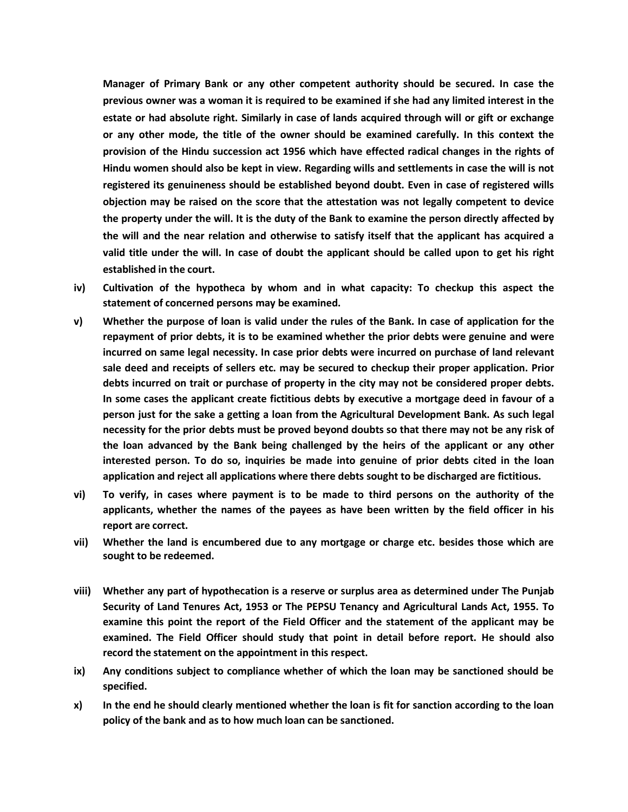**Manager of Primary Bank or any other competent authority should be secured. In case the previous owner was a woman it is required to be examined if she had any limited interest in the estate or had absolute right. Similarly in case of lands acquired through will or gift or exchange or any other mode, the title of the owner should be examined carefully. In this context the provision of the Hindu succession act 1956 which have effected radical changes in the rights of Hindu women should also be kept in view. Regarding wills and settlements in case the will is not registered its genuineness should be established beyond doubt. Even in case of registered wills objection may be raised on the score that the attestation was not legally competent to device the property under the will. It is the duty of the Bank to examine the person directly affected by the will and the near relation and otherwise to satisfy itself that the applicant has acquired a** valid title under the will. In case of doubt the applicant should be called upon to get his right **established in the court.**

- **iv) Cultivation of the hypotheca by whom and in what capacity: To checkup this aspect the statement of concerned persons may be examined.**
- v) Whether the purpose of loan is valid under the rules of the Bank. In case of application for the **repayment of prior debts, it is to be examined whether the prior debts were genuine and were incurred on same legal necessity. In case prior debts were incurred on purchase of land relevant sale deed and receipts of sellers etc. may be secured to checkup their proper application. Prior debts incurred on trait or purchase of property in the city may not be considered proper debts. In some cases the applicant create fictitious debts by executive a mortgage deed in favour of a person just for the sake a getting a loan from the Agricultural Development Bank. As such legal necessity for the prior debts must be proved beyond doubts so that there may not be any risk of the loan advanced by the Bank being challenged by the heirs of the applicant or any other interested person. To do so, inquiries be made into genuine of prior debts cited in the loan application and reject all applications where there debts sought to be discharged are fictitious.**
- vi) To verify, in cases where payment is to be made to third persons on the authority of the **applicants, whether the names of the payees as have been written by the field officer in his report are correct.**
- **vii) Whether the land is encumbered due to any mortgage or charge etc. besides those which are sought to be redeemed.**
- **viii) Whether any part of hypothecation is a reserve or surplus area as determined under The Punjab Security of Land Tenures Act, 1953 or The PEPSU Tenancy and Agricultural Lands Act, 1955. To examine this point the report of the Field Officer and the statement of the applicant may be examined. The Field Officer should study that point in detail before report. He should also record the statement on the appointment in this respect.**
- **ix) Any conditions subject to compliance whether of which the loan may be sanctioned should be specified.**
- **x) In the end he should clearly mentioned whether the loan is fit for sanction according to the loan policy of the bank and as to how much loan can be sanctioned.**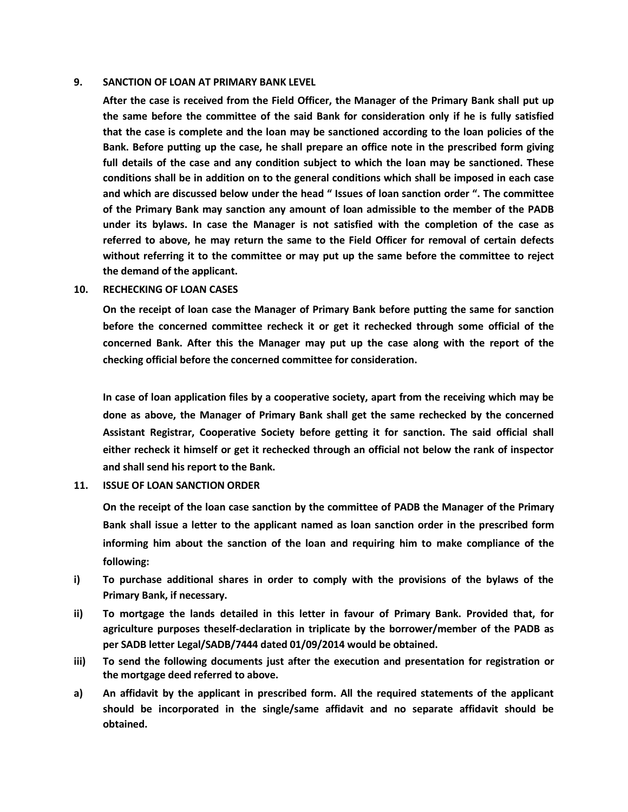#### **9. SANCTION OF LOAN AT PRIMARY BANK LEVEL**

**After the case is received from the Field Officer, the Manager of the Primary Bank shall put up the same before the committee of the said Bank for consideration only if he is fully satisfied that the case is complete and the loan may be sanctioned according to the loan policies of the Bank. Before putting up the case, he shall prepare an office note in the prescribed form giving full details of the case and any condition subject to which the loan may be sanctioned. These conditions shall be in addition on to the general conditions which shall be imposed in each case and which are discussed below under the head " Issues of loan sanction order ". The committee of the Primary Bank may sanction any amount of loan admissible to the member of the PADB under its bylaws. In case the Manager is not satisfied with the completion of the case as referred to above, he may return the same to the Field Officer for removal of certain defects without referring it to the committee or may put up the same before the committee to reject the demand of the applicant.**

#### **10. RECHECKING OF LOAN CASES**

**On the receipt of loan case the Manager of Primary Bank before putting the same for sanction before the concerned committee recheck it or get it rechecked through some official of the concerned Bank. After this the Manager may put up the case along with the report of the checking official before the concerned committee for consideration.**

**In case of loan application files by a cooperative society, apart from the receiving which may be done as above, the Manager of Primary Bank shall get the same rechecked by the concerned Assistant Registrar, Cooperative Society before getting it for sanction. The said official shall either recheck it himself or get it rechecked through an official not below the rank of inspector and shall send his report to the Bank.**

# **11. ISSUE OF LOAN SANCTION ORDER**

**On the receipt of the loan case sanction by the committee of PADB the Manager of the Primary Bank shall issue a letter to the applicant named as loan sanction order in the prescribed form informing him about the sanction of the loan and requiring him to make compliance of the following:**

- **i) To purchase additional shares in order to comply with the provisions of the bylaws of the Primary Bank, if necessary.**
- **ii) To mortgage the lands detailed in this letter in favour of Primary Bank. Provided that, for agriculture purposes theself-declaration in triplicate by the borrower/member of the PADB as per SADB letter Legal/SADB/7444 dated 01/09/2014 would be obtained.**
- **iii) To send the following documents just after the execution and presentation for registration or the mortgage deed referred to above.**
- **a) An affidavit by the applicant in prescribed form. All the required statements of the applicant should be incorporated in the single/same affidavit and no separate affidavit should be obtained.**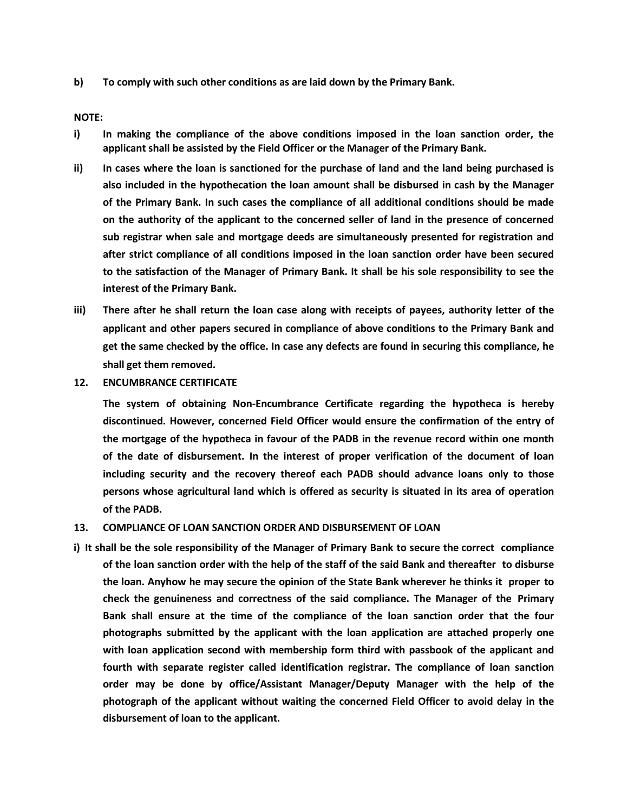**b) To comply with such other conditions as are laid down by the Primary Bank.**

**NOTE:**

- **i) In making the compliance of the above conditions imposed in the loan sanction order, the applicant shall be assisted by the Field Officer or the Manager of the Primary Bank.**
- ii) In cases where the loan is sanctioned for the purchase of land and the land being purchased is **also included in the hypothecation the loan amount shall be disbursed in cash by the Manager of the Primary Bank. In such cases the compliance of all additional conditions should be made on the authority of the applicant to the concerned seller of land in the presence of concerned sub registrar when sale and mortgage deeds are simultaneously presented for registration and after strict compliance of all conditions imposed in the loan sanction order have been secured to the satisfaction of the Manager of Primary Bank. It shall be his sole responsibility to see the interest of the Primary Bank.**
- iii) There after he shall return the loan case along with receipts of payees, authority letter of the **applicant and other papers secured in compliance of above conditions to the Primary Bank and get the same checked by the office. In case any defects are found in securing this compliance, he shall get them removed.**
- **12. ENCUMBRANCE CERTIFICATE**

**The system of obtaining Non-Encumbrance Certificate regarding the hypotheca is hereby discontinued. However, concerned Field Officer would ensure the confirmation of the entry of the mortgage of the hypotheca in favour of the PADB in the revenue record within one month of the date of disbursement. In the interest of proper verification of the document of loan including security and the recovery thereof each PADB should advance loans only to those persons whose agricultural land which is offered as security is situated in its area of operation of the PADB.**

#### **13. COMPLIANCE OF LOAN SANCTION ORDER AND DISBURSEMENT OF LOAN**

i) It shall be the sole responsibility of the Manager of Primary Bank to secure the correct compliance of the loan sanction order with the help of the staff of the said Bank and thereafter to disburse **the loan. Anyhow he may secure the opinion of the State Bank wherever he thinks it proper to check the genuineness and correctness of the said compliance. The Manager of the Primary Bank shall ensure at the time of the compliance of the loan sanction order that the four photographs submitted by the applicant with the loan application are attached properly one with loan application second with membership form third with passbook of the applicant and fourth with separate register called identification registrar. The compliance of loan sanction order may be done by office/Assistant Manager/Deputy Manager with the help of the photograph of the applicant without waiting the concerned Field Officer to avoid delay in the disbursement of loan to the applicant.**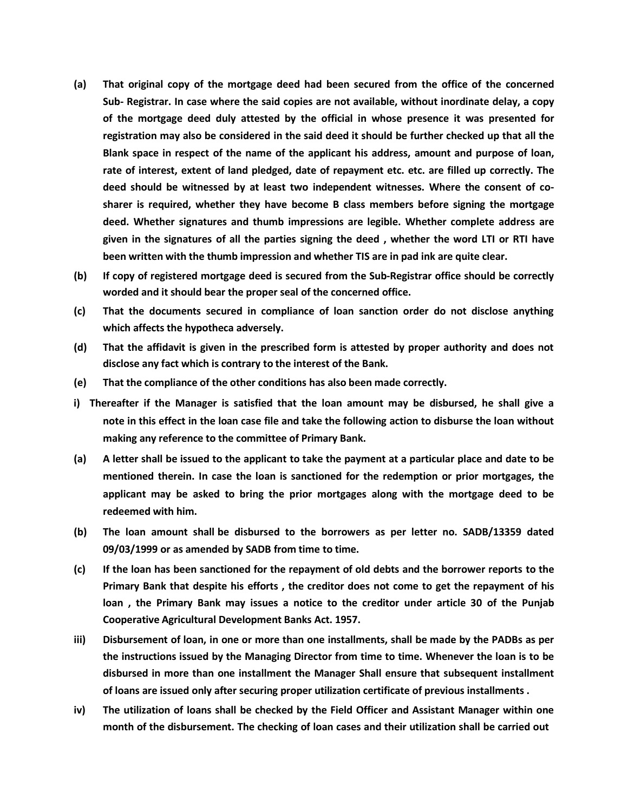- **(a) That original copy of the mortgage deed had been secured from the office of the concerned Sub- Registrar. In case where the said copies are not available, without inordinate delay, a copy of the mortgage deed duly attested by the official in whose presence it was presented for registration may also be considered in the said deed it should be further checked up that all the Blank space in respect of the name of the applicant his address, amount and purpose of loan, rate of interest, extent of land pledged, date of repayment etc. etc. are filled up correctly. The deed should be witnessed by at least two independent witnesses. Where the consent of cosharer is required, whether they have become B class members before signing the mortgage deed. Whether signatures and thumb impressions are legible. Whether complete address are** given in the signatures of all the parties signing the deed, whether the word LTI or RTI have **been written with the thumb impression and whether TIS are in pad ink are quite clear.**
- **(b) If copy of registered mortgage deed is secured from the Sub-Registrar office should be correctly worded and it should bear the proper seal of the concerned office.**
- **(c) That the documents secured in compliance of loan sanction order do not disclose anything which affects the hypotheca adversely.**
- (d) That the affidavit is given in the prescribed form is attested by proper authority and does not **disclose any fact which is contrary to the interest of the Bank.**
- **(e) That the compliance of the other conditions has also been made correctly.**
- **i) Thereafter if the Manager is satisfied that the loan amount may be disbursed, he shall give a note in this effect in the loan case file and take the following action to disburse the loan without making any reference to the committee of Primary Bank.**
- (a) A letter shall be issued to the applicant to take the payment at a particular place and date to be **mentioned therein. In case the loan is sanctioned for the redemption or prior mortgages, the applicant may be asked to bring the prior mortgages along with the mortgage deed to be redeemed with him.**
- **(b) The loan amount shall be disbursed to the borrowers as per letter no. SADB/13359 dated 09/03/1999 or as amended by SADB from time to time.**
- (c) If the loan has been sanctioned for the repayment of old debts and the borrower reports to the **Primary Bank that despite his efforts , the creditor does not come to get the repayment of his loan , the Primary Bank may issues a notice to the creditor under article 30 of the Punjab Cooperative Agricultural Development Banks Act. 1957.**
- iii) Disbursement of loan, in one or more than one installments, shall be made by the PADBs as per **the instructions issued by the Managing Director from time to time. Whenever the loan is to be disbursed in more than one installment the Manager Shall ensure that subsequent installment of loans are issued only after securing proper utilization certificate of previous installments .**
- **iv) The utilization of loans shall be checked by the Field Officer and Assistant Manager within one month of the disbursement. The checking of loan cases and their utilization shall be carried out**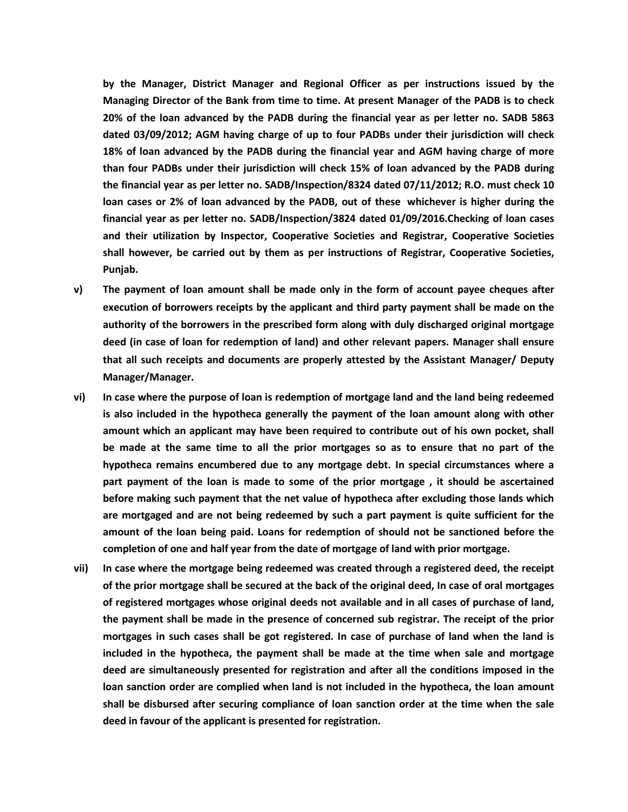**by the Manager, District Manager and Regional Officer as per instructions issued by the Managing Director of the Bank from time to time. At present Manager of the PADB is to check 20% of the loan advanced by the PADB during the financial year as per letter no. SADB 5863 dated 03/09/2012; AGM having charge of up to four PADBs under their jurisdiction will check 18% of loan advanced by the PADB during the financial year and AGM having charge of more than four PADBs under their jurisdiction will check 15% of loan advanced by the PADB during the financial year as per letter no. SADB/Inspection/8324 dated 07/11/2012; R.O. must check 10 loan cases or 2% of loan advanced by the PADB, out of these whichever is higher during the financial year as per letter no. SADB/Inspection/3824 dated 01/09/2016.Checking of loan cases and their utilization by Inspector, Cooperative Societies and Registrar, Cooperative Societies shall however, be carried out by them as per instructions of Registrar, Cooperative Societies, Punjab.**

- **v) The payment of loan amount shall be made only in the form of account payee cheques after execution of borrowers receipts by the applicant and third party payment shall be made on the authority of the borrowers in the prescribed form along with duly discharged original mortgage deed (in case of loan for redemption of land) and other relevant papers. Manager shall ensure that all such receipts and documents are properly attested by the Assistant Manager/ Deputy Manager/Manager.**
- **vi) In case where the purpose of loan is redemption of mortgage land and the land being redeemed is also included in the hypotheca generally the payment of the loan amount along with other amount which an applicant may have been required to contribute out of his own pocket, shall** be made at the same time to all the prior mortgages so as to ensure that no part of the **hypotheca remains encumbered due to any mortgage debt. In special circumstances where a part payment of the loan is made to some of the prior mortgage , it should be ascertained before making such payment that the net value of hypotheca after excluding those lands which are mortgaged and are not being redeemed by such a part payment is quite sufficient for the amount of the loan being paid. Loans for redemption of should not be sanctioned before the completion of one and half year from the date of mortgage of land with prior mortgage.**
- **vii) In case where the mortgage being redeemed was created through a registered deed, the receipt of the prior mortgage shall be secured at the back of the original deed, In case of oral mortgages of registered mortgages whose original deeds not available and in all cases of purchase of land, the payment shall be made in the presence of concerned sub registrar. The receipt of the prior mortgages in such cases shall be got registered. In case of purchase of land when the land is included in the hypotheca, the payment shall be made at the time when sale and mortgage deed are simultaneously presented for registration and after all the conditions imposed in the loan sanction order are complied when land is not included in the hypotheca, the loan amount shall be disbursed after securing compliance of loan sanction order at the time when the sale deed in favour of the applicant is presented for registration.**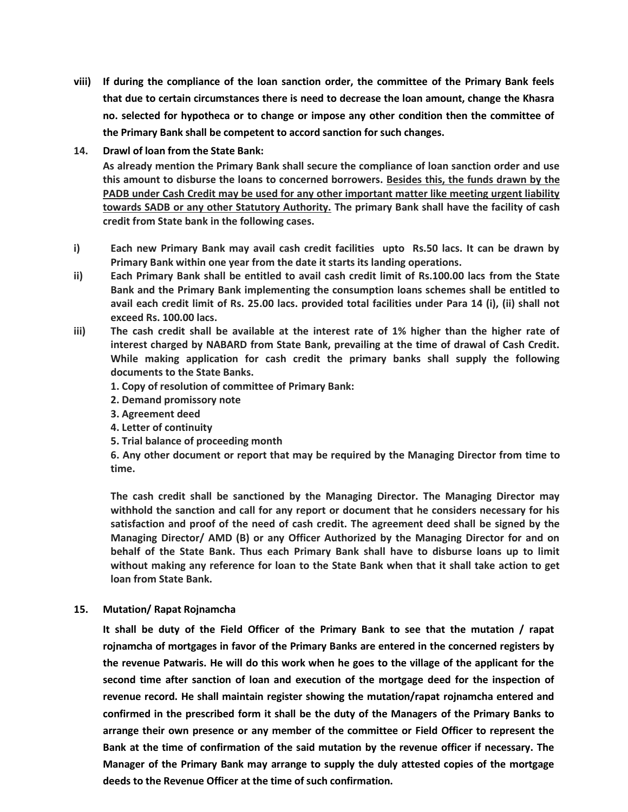- **viii) If during the compliance of the loan sanction order, the committee of the Primary Bank feels that due to certain circumstances there is need to decrease the loan amount, change the Khasra no. selected for hypotheca or to change or impose any other condition then the committee of the Primary Bank shall be competent to accord sanction for such changes.**
- **14. Drawl of loan from the State Bank:**

**As already mention the Primary Bank shall secure the compliance of loan sanction order and use this amount to disburse the loans to concerned borrowers. Besides this, the funds drawn by the PADB under Cash Credit may be used for any other important matter like meeting urgent liability towards SADB or any other Statutory Authority. The primary Bank shall have the facility of cash credit from State bank in the following cases.**

- **i) Each new Primary Bank may avail cash credit facilities upto Rs.50 lacs. It can be drawn by Primary Bank within one year from the date it starts its landing operations.**
- **ii) Each Primary Bank shall be entitled to avail cash credit limit of Rs.100.00 lacs from the State Bank and the Primary Bank implementing the consumption loans schemes shall be entitled to avail each credit limit of Rs. 25.00 lacs. provided total facilities under Para 14 (i), (ii) shall not exceed Rs. 100.00 lacs.**
- **iii) The cash credit shall be available at the interest rate of 1% higher than the higher rate of interest charged by NABARD from State Bank, prevailing at the time of drawal of Cash Credit. While making application for cash credit the primary banks shall supply the following documents to the State Banks.**
	- **1. Copy of resolution of committee of Primary Bank:**
	- **2. Demand promissory note**
	- **3. Agreement deed**
	- **4. Letter of continuity**
	- **5. Trial balance of proceeding month**

**6. Any other document or report that may be required by the Managing Director from time to time.**

**The cash credit shall be sanctioned by the Managing Director. The Managing Director may withhold the sanction and call for any report or document that he considers necessary for his satisfaction and proof of the need of cash credit. The agreement deed shall be signed by the Managing Director/ AMD (B) or any Officer Authorized by the Managing Director for and on behalf of the State Bank. Thus each Primary Bank shall have to disburse loans up to limit without making any reference for loan to the State Bank when that it shall take action to get loan from State Bank.**

**15. Mutation/ Rapat Rojnamcha**

**It shall be duty of the Field Officer of the Primary Bank to see that the mutation / rapat rojnamcha of mortgages in favor of the Primary Banks are entered in the concerned registers by** the revenue Patwaris. He will do this work when he goes to the village of the applicant for the **second time after sanction of loan and execution of the mortgage deed for the inspection of revenue record. He shall maintain register showing the mutation/rapat rojnamcha entered and confirmed in the prescribed form it shall be the duty of the Managers of the Primary Banks to arrange their own presence or any member of the committee or Field Officer to represent the Bank at the time of confirmation of the said mutation by the revenue officer if necessary. The Manager of the Primary Bank may arrange to supply the duly attested copies of the mortgage deeds to the Revenue Officer at the time of such confirmation.**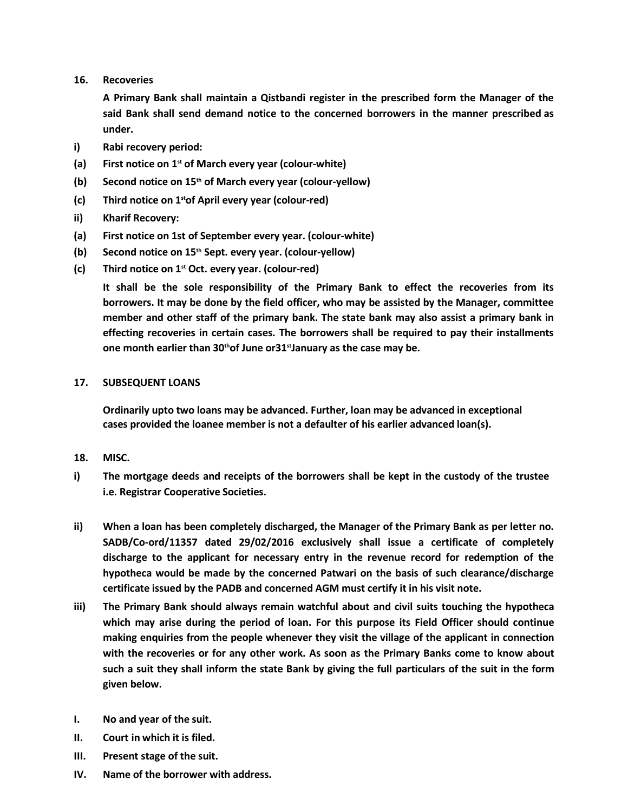**16. Recoveries**

**A Primary Bank shall maintain a Qistbandi register in the prescribed form the Manager of the said Bank shall send demand notice to the concerned borrowers in the manner prescribed as under.**

- **i) Rabi recovery period:**
- **(a) First notice on 1 st of March every year (colour-white)**
- **(b) Second notice on 15th of March every year (colour-yellow)**
- **(c) Third notice on 1 stof April every year (colour-red)**
- **ii) Kharif Recovery:**
- **(a) First notice on 1st of September every year. (colour-white)**
- **(b) Second notice on 15th Sept. every year. (colour-yellow)**
- **(c) Third notice on 1 st Oct. every year. (colour-red)**

**It shall be the sole responsibility of the Primary Bank to effect the recoveries from its borrowers. It may be done by the field officer, who may be assisted by the Manager, committee member and other staff of the primary bank. The state bank may also assist a primary bank in effecting recoveries in certain cases. The borrowers shall be required to pay their installments one month earlier than 30thof June or31stJanuary as the case may be.**

# **17. SUBSEQUENT LOANS**

**Ordinarily upto two loans may be advanced. Further, loan may be advanced in exceptional cases provided the loanee member is not a defaulter of his earlier advanced loan(s).**

- **18. MISC.**
- **i) The mortgage deeds and receipts of the borrowers shall be kept in the custody of the trustee i.e. Registrar Cooperative Societies.**
- **ii) When a loan has been completely discharged, the Manager of the Primary Bank as per letter no. SADB/Co-ord/11357 dated 29/02/2016 exclusively shall issue a certificate of completely discharge to the applicant for necessary entry in the revenue record for redemption of the hypotheca would be made by the concerned Patwari on the basis of such clearance/discharge certificate issued by the PADB and concerned AGM must certify it in his visit note.**
- **iii) The Primary Bank should always remain watchful about and civil suits touching the hypotheca which may arise during the period of loan. For this purpose its Field Officer should continue making enquiries from the people whenever they visit the village of the applicant in connection with the recoveries or for any other work. As soon as the Primary Banks come to know about** such a suit they shall inform the state Bank by giving the full particulars of the suit in the form **given below.**
- **I. No and year of the suit.**
- **II. Court in which it is filed.**
- **III. Present stage of the suit.**
- **IV. Name of the borrower with address.**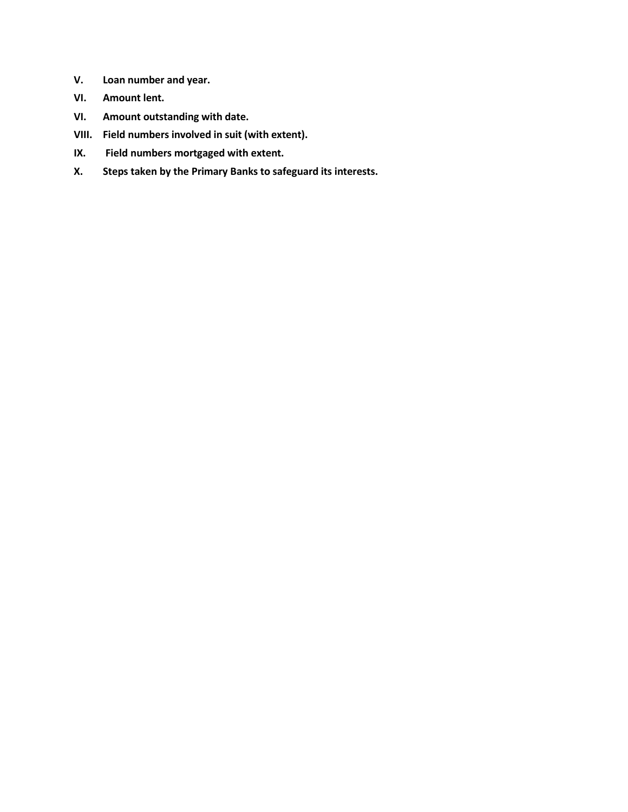- **V. Loan number and year.**
- **VI. Amount lent.**
- **VI. Amount outstanding with date.**
- **VIII. Field numbers involved in suit (with extent).**
- **IX. Field numbers mortgaged with extent.**
- **X. Steps taken by the Primary Banks to safeguard its interests.**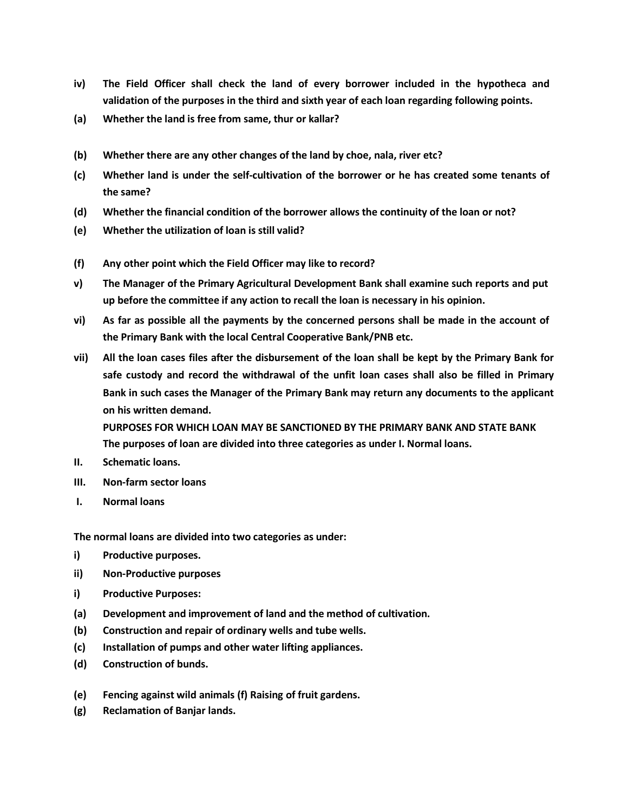- **iv) The Field Officer shall check the land of every borrower included in the hypotheca and validation of the purposes in the third and sixth year of each loan regarding following points.**
- **(a) Whether the land is free from same, thur or kallar?**
- **(b) Whether there are any other changes of the land by choe, nala, river etc?**
- **(c) Whether land is under the self-cultivation of the borrower or he has created some tenants of the same?**
- **(d) Whether the financial condition of the borrower allows the continuity of the loan or not?**
- **(e) Whether the utilization of loan is still valid?**
- **(f) Any other point which the Field Officer may like to record?**
- **v) The Manager of the Primary Agricultural Development Bank shall examine such reports and put up before the committee if any action to recall the loan is necessary in his opinion.**
- vi) As far as possible all the payments by the concerned persons shall be made in the account of **the Primary Bank with the local Central Cooperative Bank/PNB etc.**
- vii) All the loan cases files after the disbursement of the loan shall be kept by the Primary Bank for **safe custody and record the withdrawal of the unfit loan cases shall also be filled in Primary Bank in such cases the Manager of the Primary Bank may return any documents to the applicant on his written demand.**

**PURPOSES FOR WHICH LOAN MAY BE SANCTIONED BY THE PRIMARY BANK AND STATE BANK The purposes of loan are divided into three categories as under I. Normal loans.**

- **II. Schematic loans.**
- **III. Non-farm sector loans**
- **I. Normal loans**

**The normal loans are divided into two categories as under:**

- **i) Productive purposes.**
- **ii) Non-Productive purposes**
- **i) Productive Purposes:**
- **(a) Development and improvement of land and the method of cultivation.**
- **(b) Construction and repair of ordinary wells and tube wells.**
- **(c) Installation of pumps and other water lifting appliances.**
- **(d) Construction of bunds.**
- **(e) Fencing against wild animals (f) Raising of fruit gardens.**
- **(g) Reclamation of Banjar lands.**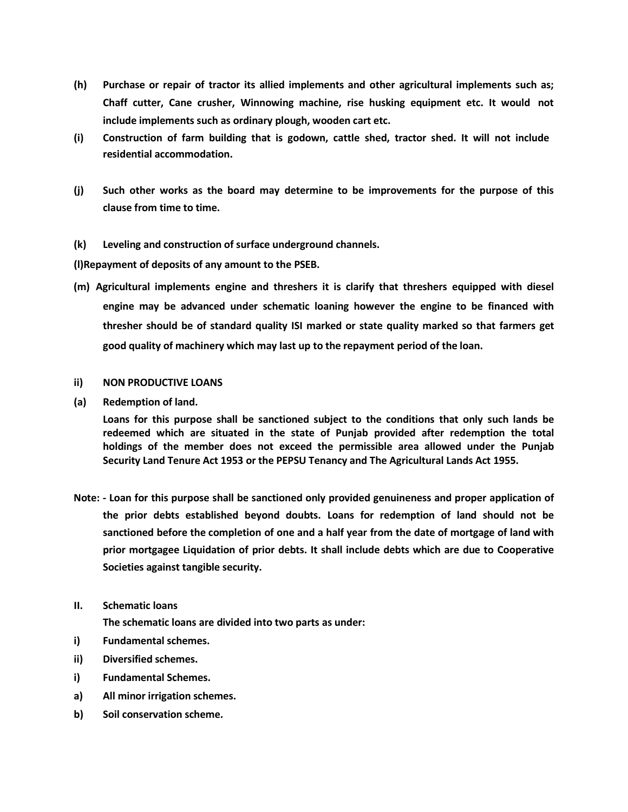- **(h) Purchase or repair of tractor its allied implements and other agricultural implements such as; Chaff cutter, Cane crusher, Winnowing machine, rise husking equipment etc. It would not include implements such as ordinary plough, wooden cart etc.**
- **(i) Construction of farm building that is godown, cattle shed, tractor shed. It will not include residential accommodation.**
- **(j) Such other works as the board may determine to be improvements for the purpose of this clause from time to time.**

# **(k) Leveling and construction of surface underground channels.**

**(l)Repayment of deposits of any amount to the PSEB.**

**(m) Agricultural implements engine and threshers it is clarify that threshers equipped with diesel engine may be advanced under schematic loaning however the engine to be financed with thresher should be of standard quality ISI marked or state quality marked so that farmers get good quality of machinery which may last up to the repayment period of the loan.**

## **ii) NON PRODUCTIVE LOANS**

**(a) Redemption of land.**

**Loans for this purpose shall be sanctioned subject to the conditions that only such lands be redeemed which are situated in the state of Punjab provided after redemption the total holdings of the member does not exceed the permissible area allowed under the Punjab Security Land Tenure Act 1953 or the PEPSU Tenancy and The Agricultural Lands Act 1955.**

- **Note: - Loan for this purpose shall be sanctioned only provided genuineness and proper application of the prior debts established beyond doubts. Loans for redemption of land should not be sanctioned before the completion of one and a half year from the date of mortgage of land with prior mortgagee Liquidation of prior debts. It shall include debts which are due to Cooperative Societies against tangible security.**
- **II. Schematic loans**

**The schematic loans are divided into two parts as under:**

- **i) Fundamental schemes.**
- **ii) Diversified schemes.**
- **i) Fundamental Schemes.**
- **a) All minor irrigation schemes.**
- **b) Soil conservation scheme.**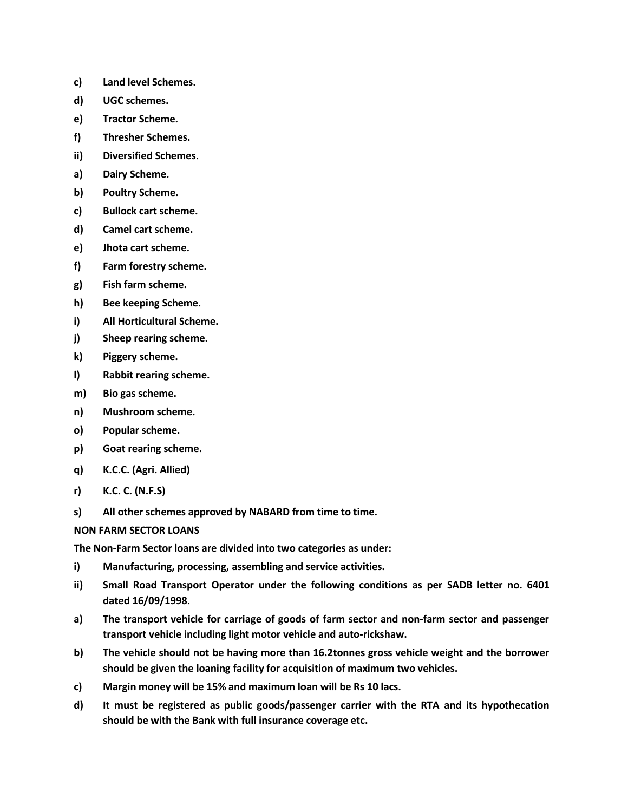- **c) Land level Schemes.**
- **d) UGC schemes.**
- **e) Tractor Scheme.**
- **f) Thresher Schemes.**
- **ii) Diversified Schemes.**
- **a) Dairy Scheme.**
- **b) Poultry Scheme.**
- **c) Bullock cart scheme.**
- **d) Camel cart scheme.**
- **e) Jhota cart scheme.**
- **f) Farm forestry scheme.**
- **g) Fish farm scheme.**
- **h) Bee keeping Scheme.**
- **i) All Horticultural Scheme.**
- **j) Sheep rearing scheme.**
- **k) Piggery scheme.**
- **l) Rabbit rearing scheme.**
- **m) Bio gas scheme.**
- **n) Mushroom scheme.**
- **o) Popular scheme.**
- **p) Goat rearing scheme.**
- **q) K.C.C. (Agri. Allied)**
- **r) K.C. C. (N.F.S)**
- **s) All other schemes approved by NABARD from time to time.**

#### **NON FARM SECTOR LOANS**

**The Non-Farm Sector loans are divided into two categories as under:**

- **i) Manufacturing, processing, assembling and service activities.**
- **ii) Small Road Transport Operator under the following conditions as per SADB letter no. 6401 dated 16/09/1998.**
- **a) The transport vehicle for carriage of goods of farm sector and non-farm sector and passenger transport vehicle including light motor vehicle and auto-rickshaw.**
- **b) The vehicle should not be having more than 16.2tonnes gross vehicle weight and the borrower should be given the loaning facility for acquisition of maximum two vehicles.**
- **c) Margin money will be 15% and maximum loan will be Rs 10 lacs.**
- **d) It must be registered as public goods/passenger carrier with the RTA and its hypothecation should be with the Bank with full insurance coverage etc.**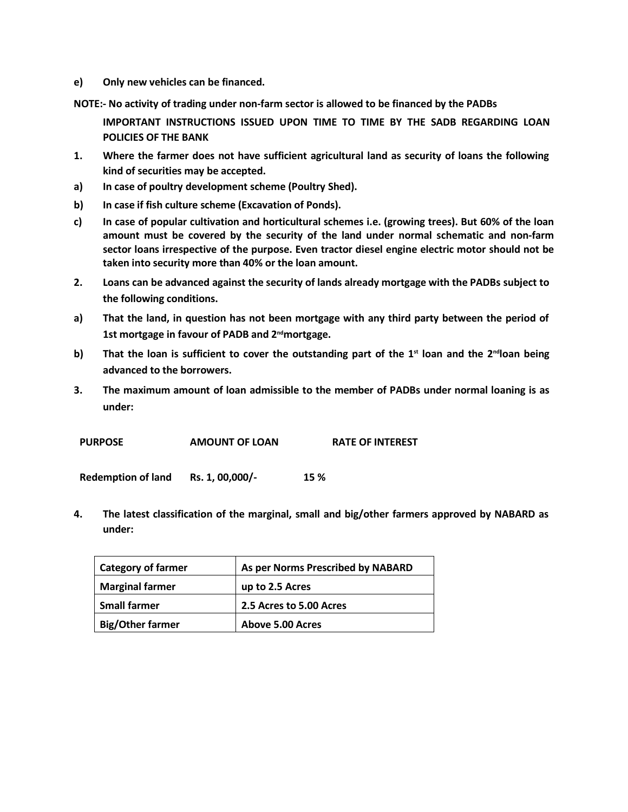**e) Only new vehicles can be financed.**

**NOTE:- No activity of trading under non-farm sector is allowed to be financed by the PADBs**

**IMPORTANT INSTRUCTIONS ISSUED UPON TIME TO TIME BY THE SADB REGARDING LOAN POLICIES OF THE BANK**

- **1. Where the farmer does not have sufficient agricultural land as security of loans the following kind of securities may be accepted.**
- **a) In case of poultry development scheme (Poultry Shed).**
- **b) In case if fish culture scheme (Excavation of Ponds).**
- **c) In case of popular cultivation and horticultural schemes i.e. (growing trees). But 60% of the loan amount must be covered by the security of the land under normal schematic and non-farm sector loans irrespective of the purpose. Even tractor diesel engine electric motor should not be taken into security more than 40% or the loan amount.**
- **2. Loans can be advanced against the security of lands already mortgage with the PADBs subject to the following conditions.**
- **a) That the land, in question has not been mortgage with any third party between the period of 1st mortgage in favour of PADB and 2ndmortgage.**
- b) That the loan is sufficient to cover the outstanding part of the  $1<sup>st</sup>$  loan and the  $2<sup>nd</sup>$ loan being **advanced to the borrowers.**
- **3. The maximum amount of loan admissible to the member of PADBs under normal loaning is as under:**

| <b>PURPOSE</b> | <b>AMOUNT OF LOAN</b> | <b>RATE OF INTEREST</b> |
|----------------|-----------------------|-------------------------|
|                |                       |                         |

**Redemption of land Rs. 1, 00,000/- 15 %**

**4. The latest classification of the marginal, small and big/other farmers approved by NABARD as under:**

| <b>Category of farmer</b> | As per Norms Prescribed by NABARD |
|---------------------------|-----------------------------------|
| <b>Marginal farmer</b>    | up to 2.5 Acres                   |
| <b>Small farmer</b>       | 2.5 Acres to 5.00 Acres           |
| <b>Big/Other farmer</b>   | <b>Above 5.00 Acres</b>           |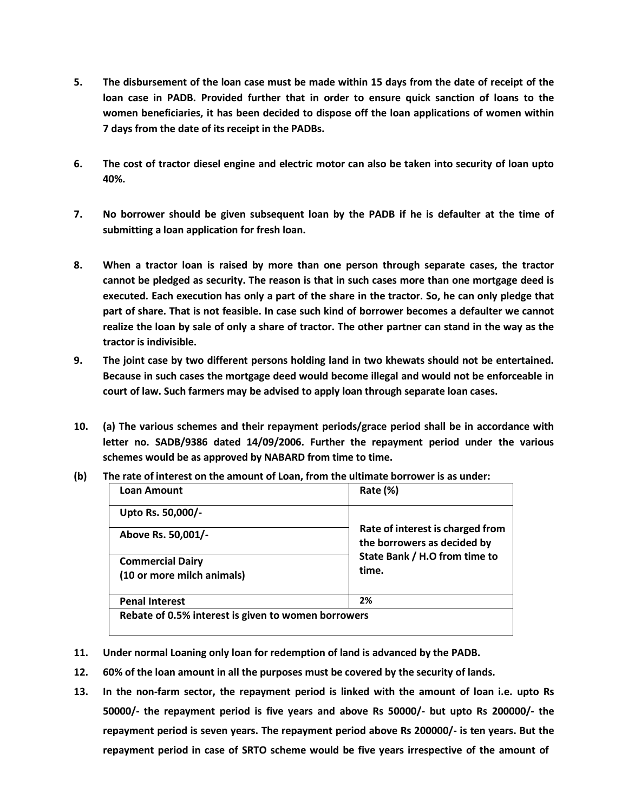- 5. The disbursement of the loan case must be made within 15 days from the date of receipt of the **loan case in PADB. Provided further that in order to ensure quick sanction of loans to the women beneficiaries, it has been decided to dispose off the loan applications of women within 7 days from the date of its receipt in the PADBs.**
- 6. The cost of tractor diesel engine and electric motor can also be taken into security of loan upto **40%.**
- 7. No borrower should be given subsequent loan by the PADB if he is defaulter at the time of **submitting a loan application for fresh loan.**
- **8. When a tractor loan is raised by more than one person through separate cases, the tractor cannot be pledged as security. The reason is that in such cases more than one mortgage deed is** executed. Each execution has only a part of the share in the tractor. So, he can only pledge that **part of share. That is not feasible. In case such kind of borrower becomes a defaulter we cannot** realize the loan by sale of only a share of tractor. The other partner can stand in the way as the **tractor is indivisible.**
- **9. The joint case by two different persons holding land in two khewats should not be entertained. Because in such cases the mortgage deed would become illegal and would not be enforceable in court of law. Such farmers may be advised to apply loan through separate loan cases.**
- **10. (a) The various schemes and their repayment periods/grace period shall be in accordance with letter no. SADB/9386 dated 14/09/2006. Further the repayment period under the various schemes would be as approved by NABARD from time to time.**

| <b>Loan Amount</b>                                    | Rate (%)                                                        |  |
|-------------------------------------------------------|-----------------------------------------------------------------|--|
| Upto Rs. 50,000/-                                     |                                                                 |  |
| Above Rs. 50,001/-                                    | Rate of interest is charged from<br>the borrowers as decided by |  |
| <b>Commercial Dairy</b><br>(10 or more milch animals) | State Bank / H.O from time to<br>time.                          |  |
| <b>Penal Interest</b>                                 | 2%                                                              |  |

**(b) The rate of interest on the amount of Loan, from the ultimate borrower is as under:**

- **11. Under normal Loaning only loan for redemption of land is advanced by the PADB.**
- **12. 60% of the loan amount in all the purposes must be covered by the security of lands.**
- **13. In the non-farm sector, the repayment period is linked with the amount of loan i.e. upto Rs 50000/- the repayment period is five years and above Rs 50000/- but upto Rs 200000/- the repayment period is seven years. The repayment period above Rs 200000/- is ten years. But the repayment period in case of SRTO scheme would be five years irrespective of the amount of**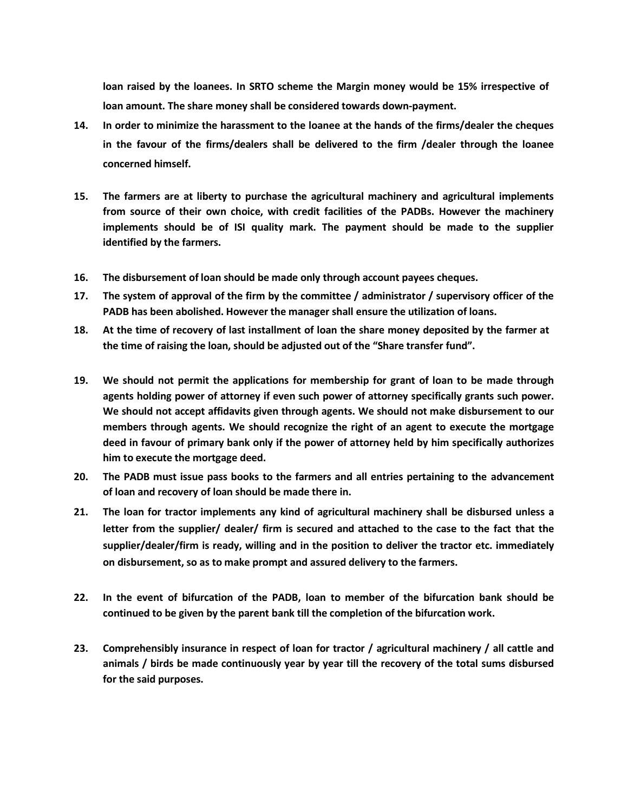**loan raised by the loanees. In SRTO scheme the Margin money would be 15% irrespective of loan amount. The share money shall be considered towards down-payment.**

- **14. In order to minimize the harassment to the loanee at the hands of the firms/dealer the cheques in the favour of the firms/dealers shall be delivered to the firm /dealer through the loanee concerned himself.**
- **15. The farmers are at liberty to purchase the agricultural machinery and agricultural implements from source of their own choice, with credit facilities of the PADBs. However the machinery implements should be of ISI quality mark. The payment should be made to the supplier identified by the farmers.**
- **16. The disbursement of loan should be made only through account payees cheques.**
- **17. The system of approval of the firm by the committee / administrator / supervisory officer of the PADB has been abolished. However the manager shall ensure the utilization of loans.**
- 18. At the time of recovery of last installment of loan the share money deposited by the farmer at **the time of raising the loan, should be adjusted out of the "Share transfer fund".**
- **19. We should not permit the applications for membership for grant of loan to be made through agents holding power of attorney if even such power of attorney specifically grants such power. We should not accept affidavits given through agents. We should not make disbursement to our members through agents. We should recognize the right of an agent to execute the mortgage deed in favour of primary bank only if the power of attorney held by him specifically authorizes him to execute the mortgage deed.**
- **20. The PADB must issue pass books to the farmers and all entries pertaining to the advancement of loan and recovery of loan should be made there in.**
- **21. The loan for tractor implements any kind of agricultural machinery shall be disbursed unless a letter from the supplier/ dealer/ firm is secured and attached to the case to the fact that the supplier/dealer/firm is ready, willing and in the position to deliver the tractor etc. immediately on disbursement, so as to make prompt and assured delivery to the farmers.**
- **22. In the event of bifurcation of the PADB, loan to member of the bifurcation bank should be continued to be given by the parent bank till the completion of the bifurcation work.**
- **23. Comprehensibly insurance in respect of loan for tractor / agricultural machinery / all cattle and animals / birds be made continuously year by year till the recovery of the total sums disbursed for the said purposes.**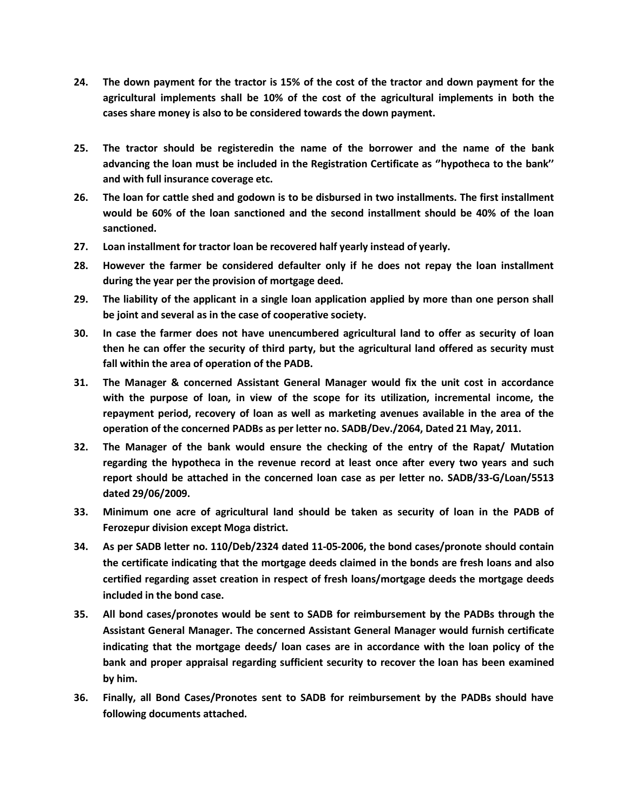- 24. The down payment for the tractor is 15% of the cost of the tractor and down payment for the **agricultural implements shall be 10% of the cost of the agricultural implements in both the cases share money is also to be considered towards the down payment.**
- **25. The tractor should be registeredin the name of the borrower and the name of the bank advancing the loan must be included in the Registration Certificate as ''hypotheca to the bank'' and with full insurance coverage etc.**
- 26. The loan for cattle shed and godown is to be disbursed in two installments. The first installment **would be 60% of the loan sanctioned and the second installment should be 40% of the loan sanctioned.**
- **27. Loan installment for tractor loan be recovered half yearly instead of yearly.**
- **28. However the farmer be considered defaulter only if he does not repay the loan installment during the year per the provision of mortgage deed.**
- 29. The liability of the applicant in a single loan application applied by more than one person shall **be joint and several as in the case of cooperative society.**
- **30. In case the farmer does not have unencumbered agricultural land to offer as security of loan then he can offer the security of third party, but the agricultural land offered as security must fall within the area of operation of the PADB.**
- **31. The Manager & concerned Assistant General Manager would fix the unit cost in accordance with the purpose of loan, in view of the scope for its utilization, incremental income, the repayment period, recovery of loan as well as marketing avenues available in the area of the operation of the concerned PADBs as per letter no. SADB/Dev./2064, Dated 21 May, 2011.**
- **32. The Manager of the bank would ensure the checking of the entry of the Rapat/ Mutation regarding the hypotheca in the revenue record at least once after every two years and such report should be attached in the concerned loan case as per letter no. SADB/33-G/Loan/5513 dated 29/06/2009.**
- **33. Minimum one acre of agricultural land should be taken as security of loan in the PADB of Ferozepur division except Moga district.**
- **34. As per SADB letter no. 110/Deb/2324 dated 11-05-2006, the bond cases/pronote should contain the certificate indicating that the mortgage deeds claimed in the bonds are fresh loans and also certified regarding asset creation in respect of fresh loans/mortgage deeds the mortgage deeds included in the bond case.**
- **35. All bond cases/pronotes would be sent to SADB for reimbursement by the PADBs through the Assistant General Manager. The concerned Assistant General Manager would furnish certificate indicating that the mortgage deeds/ loan cases are in accordance with the loan policy of the bank and proper appraisal regarding sufficient security to recover the loan has been examined by him.**
- **36. Finally, all Bond Cases/Pronotes sent to SADB for reimbursement by the PADBs should have following documents attached.**